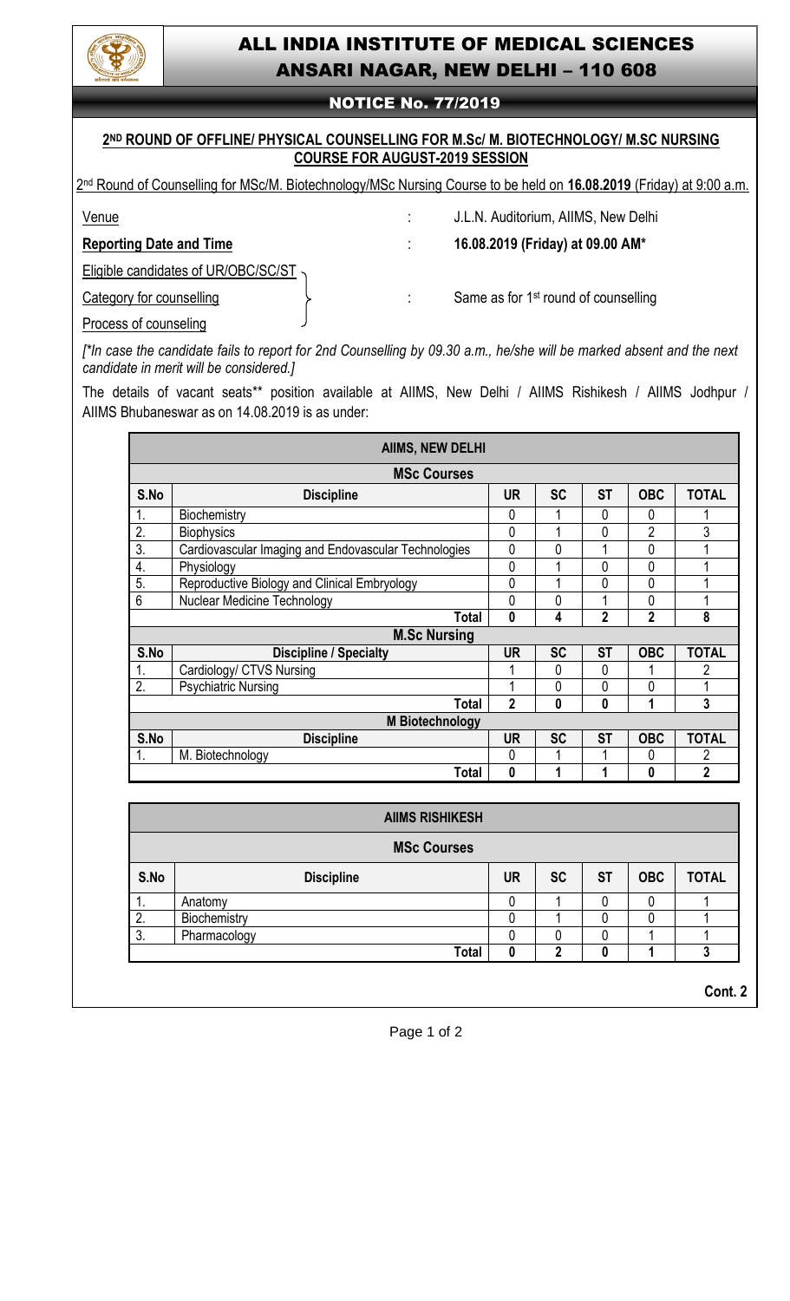

# ALL INDIA INSTITUTE OF MEDICAL SCIENCES ANSARI NAGAR, NEW DELHI – 110 608

## NOTICE No. 77/2019

### **2 ND ROUND OF OFFLINE/ PHYSICAL COUNSELLING FOR M.Sc/ M. BIOTECHNOLOGY/ M.SC NURSING COURSE FOR AUGUST-2019 SESSION**

2 nd Round of Counselling for MSc/M. Biotechnology/MSc Nursing Course to be held on **16.08.2019** (Friday) at 9:00 a.m.

Venue : J.L.N. Auditorium, AIIMS, New Delhi

**Reporting Date and Time** : **16.08.2019 (Friday) at 09.00 AM\***

Eligible candidates of UR/OBC/SC/ST

Process of counseling

Category for counselling  $\left\{\right.$   $\left.\right\}$   $\left.\right\}$  Same as for 1<sup>st</sup> round of counselling

*[\*In case the candidate fails to report for 2nd Counselling by 09.30 a.m., he/she will be marked absent and the next candidate in merit will be considered.]*

The details of vacant seats\*\* position available at AIIMS, New Delhi / AIIMS Rishikesh / AIIMS Jodhpur / AIIMS Bhubaneswar as on 14.08.2019 is as under:

|                        | <b>AIIMS, NEW DELHI</b>                              |           |                |                |                |                |  |  |
|------------------------|------------------------------------------------------|-----------|----------------|----------------|----------------|----------------|--|--|
| <b>MSc Courses</b>     |                                                      |           |                |                |                |                |  |  |
| S.No                   | <b>Discipline</b>                                    | <b>UR</b> | <b>SC</b>      | <b>ST</b>      | <b>OBC</b>     | <b>TOTAL</b>   |  |  |
| 1.                     | Biochemistry                                         | 0         |                | 0              | 0              |                |  |  |
| 2.                     | <b>Biophysics</b>                                    | 0         |                | 0              | $\overline{2}$ | 3              |  |  |
| 3.                     | Cardiovascular Imaging and Endovascular Technologies | 0         | $\overline{0}$ |                | 0              |                |  |  |
| 4.                     | Physiology                                           | 0         |                | 0              | 0              |                |  |  |
| 5.                     | Reproductive Biology and Clinical Embryology         | 0         | 1              | 0              | 0              |                |  |  |
| $6\phantom{1}$         | <b>Nuclear Medicine Technology</b>                   | 0         | 0              |                | 0              |                |  |  |
|                        | <b>Total</b>                                         | 0         | 4              | $\overline{2}$ | $\overline{2}$ | 8              |  |  |
| <b>M.Sc Nursing</b>    |                                                      |           |                |                |                |                |  |  |
| S.No                   | <b>Discipline / Specialty</b>                        | <b>UR</b> | <b>SC</b>      | <b>ST</b>      | <b>OBC</b>     | <b>TOTAL</b>   |  |  |
| 1.                     | Cardiology/ CTVS Nursing                             |           | 0              | 0              |                | 2              |  |  |
| 2.                     | <b>Psychiatric Nursing</b>                           |           | 0              | 0              | 0              |                |  |  |
|                        | <b>Total</b>                                         | 2         | 0              | 0              | 1              | 3              |  |  |
|                        | <b>M</b> Biotechnology                               |           |                |                |                |                |  |  |
| S.No                   | <b>Discipline</b>                                    | <b>UR</b> | <b>SC</b>      | <b>ST</b>      | <b>OBC</b>     | <b>TOTAL</b>   |  |  |
| 1.                     | M. Biotechnology                                     | 0         | 1              |                | 0              | 2              |  |  |
|                        | <b>Total</b>                                         | 0         | 1              | 1              | 0              | $\overline{2}$ |  |  |
|                        |                                                      |           |                |                |                |                |  |  |
| <b>AIIMS RISHIKESH</b> |                                                      |           |                |                |                |                |  |  |
| MC <sub>2</sub>        |                                                      |           |                |                |                |                |  |  |

| <b>MSc Courses</b> |                   |    |           |           |            |              |  |
|--------------------|-------------------|----|-----------|-----------|------------|--------------|--|
| S.No               | <b>Discipline</b> | UR | <b>SC</b> | <b>ST</b> | <b>OBC</b> | <b>TOTAL</b> |  |
|                    | Anatomy           |    |           |           |            |              |  |
| າ<br>L.            | Biochemistry      |    |           |           |            |              |  |
| 3.                 | Pharmacology      |    |           |           |            |              |  |
|                    | <b>Total</b>      |    |           |           |            |              |  |

**Cont. 2**

Page 1 of 2